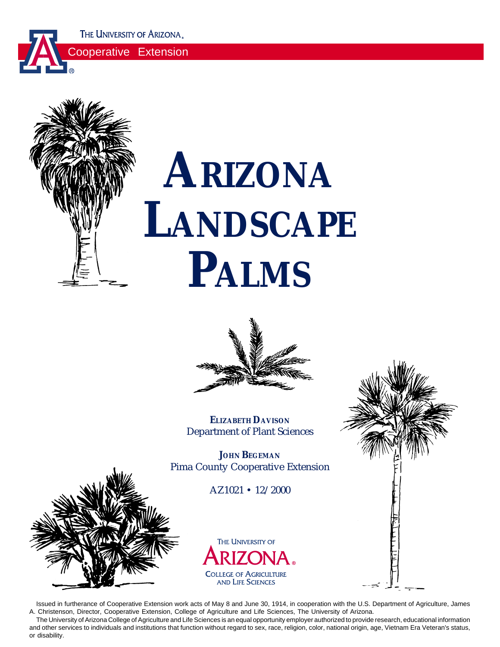THE UNIVERSITY OF ARIZONA.

Cooperative Extension



# **ARIZONA LANDSCAPE PALMS**



**ELIZABETH DAVISON** Department of Plant Sciences

**JOHN BEGEMAN** Pima County Cooperative Extension

AZ1021 • 12/2000





Issued in furtherance of Cooperative Extension work acts of May 8 and June 30, 1914, in cooperation with the U.S. Department of Agriculture, James A. Christenson, Director, Cooperative Extension, College of Agriculture and Life Sciences, The University of Arizona.

The University of Arizona College of Agriculture and Life Sciences is an equal opportunity employer authorized to provide research, educational information and other services to individuals and institutions that function without regard to sex, race, religion, color, national origin, age, Vietnam Era Veteran's status, or disability.

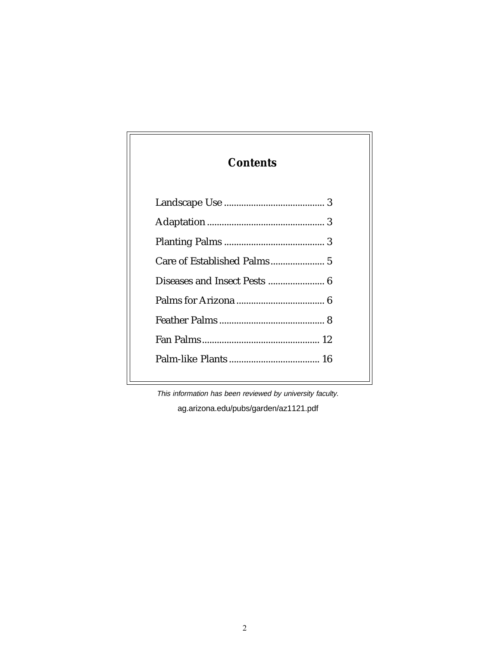# **Contents**

This information has been reviewed by university faculty.

ag.arizona.edu/pubs/garden/az1121.pdf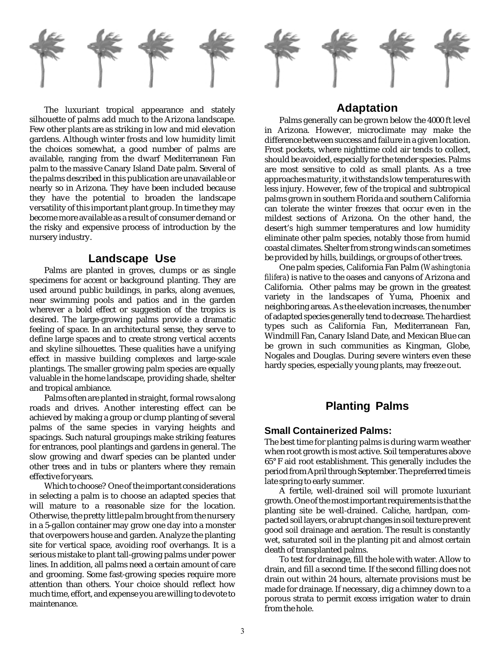

The luxuriant tropical appearance and stately silhouette of palms add much to the Arizona landscape. Few other plants are as striking in low and mid elevation gardens. Although winter frosts and low humidity limit the choices somewhat, a good number of palms are available, ranging from the dwarf Mediterranean Fan palm to the massive Canary Island Date palm. Several of the palms described in this publication are unavailable or nearly so in Arizona. They have been included because they have the potential to broaden the landscape versatility of this important plant group. In time they may become more available as a result of consumer demand or the risky and expensive process of introduction by the nursery industry.

#### **Landscape Use**

Palms are planted in groves, clumps or as single specimens for accent or background planting. They are used around public buildings, in parks, along avenues, near swimming pools and patios and in the garden wherever a bold effect or suggestion of the tropics is desired. The large-growing palms provide a dramatic feeling of space. In an architectural sense, they serve to define large spaces and to create strong vertical accents and skyline silhouettes. These qualities have a unifying effect in massive building complexes and large-scale plantings. The smaller growing palm species are equally valuable in the home landscape, providing shade, shelter and tropical ambiance.

Palms often are planted in straight, formal rows along roads and drives. Another interesting effect can be achieved by making a group or clump planting of several palms of the same species in varying heights and spacings. Such natural groupings make striking features for entrances, pool plantings and gardens in general. The slow growing and dwarf species can be planted under other trees and in tubs or planters where they remain effective for years.

Which to choose? One of the important considerations in selecting a palm is to choose an adapted species that will mature to a reasonable size for the location. Otherwise, the pretty little palm brought from the nursery in a 5-gallon container may grow one day into a monster that overpowers house and garden. Analyze the planting site for vertical space, avoiding roof overhangs. It is a serious mistake to plant tall-growing palms under power lines. In addition, all palms need a certain amount of care and grooming. Some fast-growing species require more attention than others. Your choice should reflect how much time, effort, and expense you are willing to devote to maintenance.



## **Adaptation**

Palms generally can be grown below the 4000 ft level in Arizona. However, microclimate may make the difference between success and failure in a given location. Frost pockets, where nighttime cold air tends to collect, should be avoided, especially for the tender species. Palms are most sensitive to cold as small plants. As a tree approaches maturity, it withstands low temperatures with less injury. However, few of the tropical and subtropical palms grown in southern Florida and southern California can tolerate the winter freezes that occur even in the mildest sections of Arizona. On the other hand, the desert's high summer temperatures and low humidity eliminate other palm species, notably those from humid coastal climates. Shelter from strong winds can sometimes be provided by hills, buildings, or groups of other trees.

One palm species, California Fan Palm (*Washingtonia filifera*) is native to the oases and canyons of Arizona and California. Other palms may be grown in the greatest variety in the landscapes of Yuma, Phoenix and neighboring areas. As the elevation increases, the number of adapted species generally tend to decrease. The hardiest types such as California Fan, Mediterranean Fan, Windmill Fan, Canary Island Date, and Mexican Blue can be grown in such communities as Kingman, Globe, Nogales and Douglas. During severe winters even these hardy species, especially young plants, may freeze out.

## **Planting Palms**

#### **Small Containerized Palms:**

The best time for planting palms is during warm weather when root growth is most active. Soil temperatures above 65° F aid root establishment. This generally includes the period from April through September. The preferred time is late spring to early summer.

A fertile, well-drained soil will promote luxuriant growth. One of the most important requirements is that the planting site be well-drained. Caliche, hardpan, compacted soil layers, or abrupt changes in soil texture prevent good soil drainage and aeration. The result is constantly wet, saturated soil in the planting pit and almost certain death of transplanted palms.

To test for drainage, fill the hole with water. Allow to drain, and fill a second time. If the second filling does not drain out within 24 hours, alternate provisions must be made for drainage. If necessary, dig a chimney down to a porous strata to permit excess irrigation water to drain from the hole.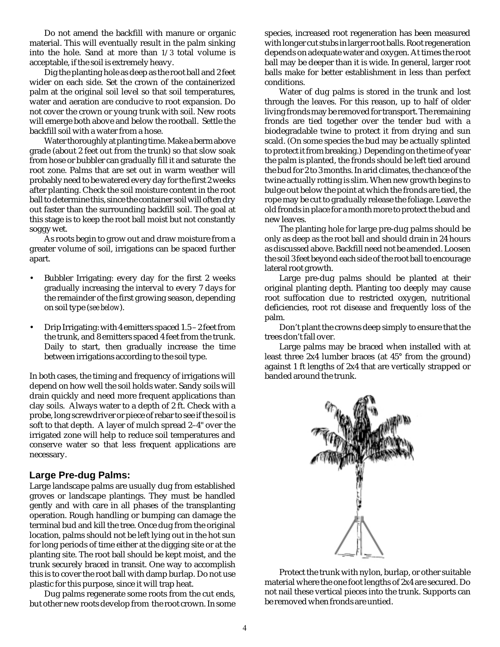material. This will eventually result in the palm sinking into the hole. Sand at more than 1/3 total volume is acceptable, if the soil is extremely heavy.

Dig the planting hole as deep as the root ball and 2 feet wider on each side. Set the crown of the containerized palm at the original soil level so that soil temperatures, water and aeration are conducive to root expansion. Do not cover the crown or young trunk with soil. New roots will emerge both above and below the rootball. Settle the backfill soil with a water from a hose.

Water thoroughly at planting time. Make a berm above grade (about 2 feet out from the trunk) so that slow soak from hose or bubbler can gradually fill it and saturate the root zone. Palms that are set out in warm weather will probably need to be watered every day for the first 2 weeks after planting. Check the soil moisture content in the root ball to determine this, since the container soil will often dry out faster than the surrounding backfill soil. The goal at this stage is to keep the root ball moist but not constantly soggy wet.

As roots begin to grow out and draw moisture from a greater volume of soil, irrigations can be spaced further apart.

- Bubbler Irrigating: every day for the first 2 weeks gradually increasing the interval to every 7 days for the remainder of the first growing season, depending on soil type (*see below*).
- Drip Irrigating: with 4 emitters spaced 1.5 2 feet from the trunk, and 8 emitters spaced 4 feet from the trunk. Daily to start, then gradually increase the time between irrigations according to the soil type.

In both cases, the timing and frequency of irrigations will depend on how well the soil holds water. Sandy soils will drain quickly and need more frequent applications than clay soils. Always water to a depth of 2 ft. Check with a probe, long screwdriver or piece of rebar to see if the soil is soft to that depth. A layer of mulch spread 2–4" over the irrigated zone will help to reduce soil temperatures and conserve water so that less frequent applications are necessary.

#### **Large Pre-dug Palms:**

Do not amend the backfill with manure or organic<br>porol and any discrete and more to the backfill with manure or organic<br>plable, if the soli is settemely heavy. It also values is the hole. Sand volume is<br>the hole. Sand at Large landscape palms are usually dug from established groves or landscape plantings. They must be handled gently and with care in all phases of the transplanting operation. Rough handling or bumping can damage the terminal bud and kill the tree. Once dug from the original location, palms should not be left lying out in the hot sun for long periods of time either at the digging site or at the planting site. The root ball should be kept moist, and the trunk securely braced in transit. One way to accomplish this is to cover the root ball with damp burlap. Do not use plastic for this purpose, since it will trap heat.

Dug palms regenerate some roots from the cut ends, but other new roots develop from the root crown. In some species, increased root regeneration has been measured with longer cut stubs in larger root balls. Root regeneration depends on adequate water and oxygen. At times the root ball may be deeper than it is wide. In general, larger root balls make for better establishment in less than perfect conditions.

Water of dug palms is stored in the trunk and lost through the leaves. For this reason, up to half of older living fronds may be removed for transport. The remaining fronds are tied together over the tender bud with a biodegradable twine to protect it from drying and sun scald. (On some species the bud may be actually splinted to protect it from breaking.) Depending on the time of year the palm is planted, the fronds should be left tied around the bud for 2 to 3 months. In arid climates, the chance of the twine actually rotting is slim. When new growth begins to bulge out below the point at which the fronds are tied, the rope may be cut to gradually release the foliage. Leave the old fronds in place for a month more to protect the bud and new leaves.

The planting hole for large pre-dug palms should be only as deep as the root ball and should drain in 24 hours as discussed above. Backfill need not be amended. Loosen the soil 3 feet beyond each side of the root ball to encourage lateral root growth.

Large pre-dug palms should be planted at their original planting depth. Planting too deeply may cause root suffocation due to restricted oxygen, nutritional deficiencies, root rot disease and frequently loss of the palm.

Don't plant the crowns deep simply to ensure that the trees don't fall over.

Large palms may be braced when installed with at least three 2x4 lumber braces (at 45° from the ground) against 1 ft lengths of 2x4 that are vertically strapped or banded around the trunk.



Protect the trunk with nylon, burlap, or other suitable material where the one foot lengths of 2x4 are secured. Do not nail these vertical pieces into the trunk. Supports can be removed when fronds are untied.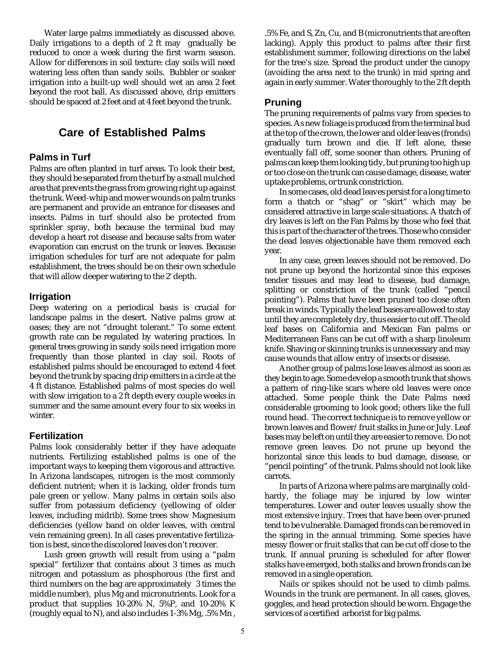Water large palms immediately as discussed above. Daily irrigations to a depth of 2 ft may gradually be reduced to once a week during the first warm season. Allow for differences in soil texture: clay soils will need watering less often than sandy soils. Bubbler or soaker irrigation into a built-up well should wet an area 2 feet beyond the root ball. As discussed above, drip emitters should be spaced at 2 feet and at 4 feet beyond the trunk.

## **Care of Established Palms**

#### **Palms in Turf**

Palms are often planted in turf areas. To look their best, they should be separated from the turf by a small mulched area that prevents the grass from growing right up against the trunk. Weed-whip and mower wounds on palm trunks are permanent and provide an entrance for diseases and insects. Palms in turf should also be protected from sprinkler spray, both because the terminal bud may develop a heart rot disease and because salts from water evaporation can encrust on the trunk or leaves. Because irrigation schedules for turf are not adequate for palm establishment, the trees should be on their own schedule that will allow deeper watering to the 2' depth.

#### **Irrigation**

Deep watering on a periodical basis is crucial for landscape palms in the desert. Native palms grow at oases; they are not "drought tolerant." To some extent growth rate can be regulated by watering practices. In general trees growing in sandy soils need irrigation more frequently than those planted in clay soil. Roots of established palms should be encouraged to extend 4 feet beyond the trunk by spacing drip emitters in a circle at the 4 ft distance. Established palms of most species do well with slow irrigation to a 2 ft depth every couple weeks in summer and the same amount every four to six weeks in winter.

#### **Fertilization**

Palms look considerably better if they have adequate nutrients. Fertilizing established palms is one of the important ways to keeping them vigorous and attractive. In Arizona landscapes, nitrogen is the most commonly deficient nutrient; when it is lacking, older fronds turn pale green or yellow. Many palms in certain soils also suffer from potassium deficiency (yellowing of older leaves, including midrib). Some trees show Magnesium deficiencies (yellow band on older leaves, with central vein remaining green). In all cases preventative fertilization is best, since the discolored leaves don't recover.

Lush green growth will result from using a "palm special" fertilizer that contains about 3 times as much nitrogen and potassium as phosphorous (the first and third numbers on the bag are approximately 3 times the middle number), plus Mg and micronutrients. Look for a product that supplies 10-20% N, 5%P, and 10-20% K (roughly equal to N), and also includes 1-3% Mg, .5% Mn ,

.5% Fe, and S, Zn, Cu, and B (micronutrients that are often lacking). Apply this product to palms after their first establishment summer, following directions on the label for the tree's size. Spread the product under the canopy (avoiding the area next to the trunk) in mid spring and again in early summer. Water thoroughly to the 2 ft depth

#### **Pruning**

The pruning requirements of palms vary from species to species. As new foliage is produced from the terminal bud at the top of the crown, the lower and older leaves (fronds) gradually turn brown and die. If left alone, these eventually fall off, some sooner than others. Pruning of palms can keep them looking tidy, but pruning too high up or too close on the trunk can cause damage, disease, water uptake problems, or trunk constriction.

In some cases, old dead leaves persist for a long time to form a thatch or "shag" or "skirt" which may be considered attractive in large scale situations. A thatch of dry leaves is left on the Fan Palms by those who feel that this is part of the character of the trees. Those who consider the dead leaves objectionable have them removed each year.

In any case, green leaves should not be removed. Do not prune up beyond the horizontal since this exposes tender tissues and may lead to disease, bud damage, splitting or constriction of the trunk (called "pencil pointing"). Palms that have been pruned too close often break in winds. Typically the leaf bases are allowed to stay until they are completely dry, thus easier to cut off. The old leaf bases on California and Mexican Fan palms or Mediterranean Fans can be cut off with a sharp linoleum knife. Shaving or skinning trunks is unnecessary and may cause wounds that allow entry of insects or disease.

Another group of palms lose leaves almost as soon as they begin to age. Some develop a smooth trunk that shows a pattern of ring-like scars where old leaves were once attached. Some people think the Date Palms need considerable grooming to look good; others like the full round head. The correct technique is to remove yellow or brown leaves and flower/fruit stalks in June or July. Leaf bases may be left on until they are easier to remove. Do not remove green leaves. Do not prune up beyond the horizontal since this leads to bud damage, disease, or "pencil pointing" of the trunk. Palms should not look like carrots.

In parts of Arizona where palms are marginally coldhardy, the foliage may be injured by low winter temperatures. Lower and outer leaves usually show the most extensive injury. Trees that have been over-pruned tend to be vulnerable. Damaged fronds can be removed in the spring in the annual trimming. Some species have messy flower or fruit stalks that can be cut off close to the trunk. If annual pruning is scheduled for after flower stalks have emerged, both stalks and brown fronds can be removed in a single operation.

Nails or spikes should not be used to climb palms. Wounds in the trunk are permanent. In all cases, gloves, goggles, and head protection should be worn. Engage the services of a certified arborist for big palms.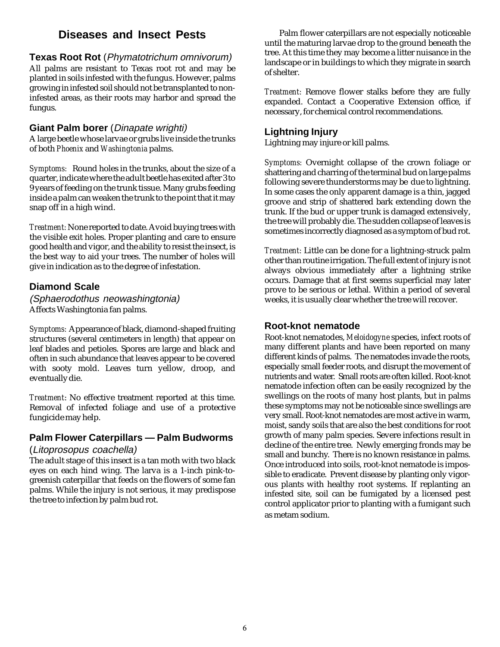## **Diseases and Insect Pests**

#### **Texas Root Rot** (Phymatotrichum omnivorum)

All palms are resistant to Texas root rot and may be planted in soils infested with the fungus. However, palms growing in infested soil should not be transplanted to noninfested areas, as their roots may harbor and spread the fungus.

#### **Giant Palm borer** (Dinapate wrighti)

A large beetle whose larvae or grubs live inside the trunks of both *Phoenix* and *Washingtonia* palms.

*Symptoms:* Round holes in the trunks, about the size of a quarter, indicate where the adult beetle has exited after 3 to 9 years of feeding on the trunk tissue. Many grubs feeding inside a palm can weaken the trunk to the point that it may snap off in a high wind.

*Treatment:* None reported to date. Avoid buying trees with the visible exit holes. Proper planting and care to ensure good health and vigor, and the ability to resist the insect, is the best way to aid your trees. The number of holes will give in indication as to the degree of infestation.

#### **Diamond Scale**

(Sphaerodothus neowashingtonia) Affects Washingtonia fan palms.

*Symptoms:* Appearance of black, diamond-shaped fruiting structures (several centimeters in length) that appear on leaf blades and petioles. Spores are large and black and often in such abundance that leaves appear to be covered with sooty mold. Leaves turn yellow, droop, and eventually die.

*Treatment*: No effective treatment reported at this time. Removal of infected foliage and use of a protective fungicide may help.

# **Palm Flower Caterpillars — Palm Budworms**

#### (Litoprosopus coachella)

The adult stage of this insect is a tan moth with two black eyes on each hind wing. The larva is a 1-inch pink-togreenish caterpillar that feeds on the flowers of some fan palms. While the injury is not serious, it may predispose the tree to infection by palm bud rot.

Palm flower caterpillars are not especially noticeable until the maturing larvae drop to the ground beneath the tree. At this time they may become a litter nuisance in the landscape or in buildings to which they migrate in search of shelter.

*Treatment:* Remove flower stalks before they are fully expanded. Contact a Cooperative Extension office, if necessary, for chemical control recommendations.

#### **Lightning Injury**

Lightning may injure or kill palms.

*Symptoms:* Overnight collapse of the crown foliage or shattering and charring of the terminal bud on large palms following severe thunderstorms may be due to lightning. In some cases the only apparent damage is a thin, jagged groove and strip of shattered bark extending down the trunk. If the bud or upper trunk is damaged extensively, the tree will probably die. The sudden collapse of leaves is sometimes incorrectly diagnosed as a symptom of bud rot.

*Treatment:* Little can be done for a lightning-struck palm other than routine irrigation. The full extent of injury is not always obvious immediately after a lightning strike occurs. Damage that at first seems superficial may later prove to be serious or lethal. Within a period of several weeks, it is usually clear whether the tree will recover.

#### **Root-knot nematode**

Root-knot nematodes, *Meloidogyne* species, infect roots of many different plants and have been reported on many different kinds of palms. The nematodes invade the roots, especially small feeder roots, and disrupt the movement of nutrients and water. Small roots are often killed. Root-knot nematode infection often can be easily recognized by the swellings on the roots of many host plants, but in palms these symptoms may not be noticeable since swellings are very small. Root-knot nematodes are most active in warm, moist, sandy soils that are also the best conditions for root growth of many palm species. Severe infections result in decline of the entire tree. Newly emerging fronds may be small and bunchy. There is no known resistance in palms. Once introduced into soils, root-knot nematode is impossible to eradicate. Prevent disease by planting only vigorous plants with healthy root systems. If replanting an infested site, soil can be fumigated by a licensed pest control applicator prior to planting with a fumigant such as metam sodium.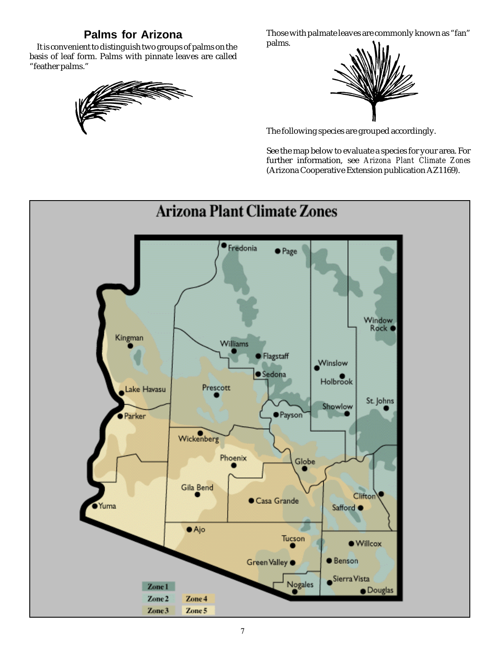# **Palms for Arizona**

It is convenient to distinguish two groups of palms on the basis of leaf form. Palms with pinnate leaves are called "feather palms."



Those with palmate leaves are commonly known as "fan" palms.



The following species are grouped accordingly.

See the map below to evaluate a species for your area. For further information, see *Arizona Plant Climate Zones* (Arizona Cooperative Extension publication AZ1169).

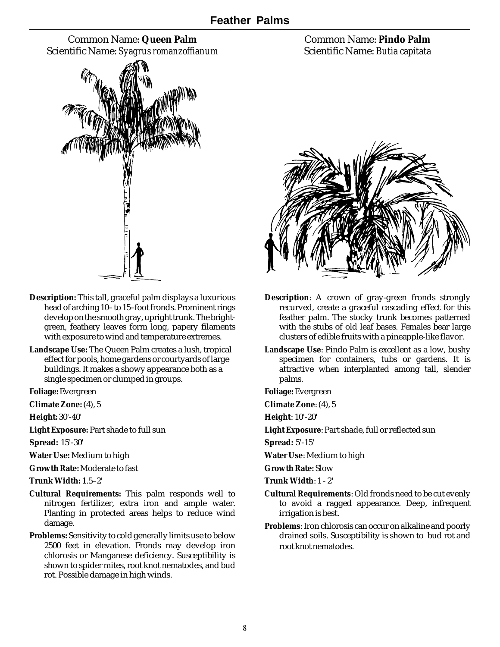Common Name: **Queen Palm** Scientific Name: *Syagrus romanzoffianum*



- **Description:** This tall, graceful palm displays a luxurious head of arching 10– to 15–foot fronds. Prominent rings develop on the smooth gray, upright trunk. The brightgreen, feathery leaves form long, papery filaments with exposure to wind and temperature extremes.
- **Landscape Use:** The Queen Palm creates a lush, tropical effect for pools, home gardens or courtyards of large buildings. It makes a showy appearance both as a single specimen or clumped in groups.

**Foliage:**Evergreen

**Climate Zone:** (4), 5

**Height:** 30'-40'

**Light Exposure:** Part shade to full sun

**Spread:** 15'-30'

**Water Use:** Medium to high

**Growth Rate:** Moderate to fast

**Trunk Width:** 1.5–2'

- **Cultural Requirements:** This palm responds well to nitrogen fertilizer, extra iron and ample water. Planting in protected areas helps to reduce wind damage.
- **Problems:** Sensitivity to cold generally limits use to below 2500 feet in elevation. Fronds may develop iron chlorosis or Manganese deficiency. Susceptibility is shown to spider mites, root knot nematodes, and bud rot. Possible damage in high winds.

Common Name: **Pindo Palm** Scientific Name: *Butia capitata*



- **Description**: A crown of gray-green fronds strongly recurved, create a graceful cascading effect for this feather palm. The stocky trunk becomes patterned with the stubs of old leaf bases. Females bear large clusters of edible fruits with a pineapple-like flavor.
- **Landscape Use**: Pindo Palm is excellent as a low, bushy specimen for containers, tubs or gardens. It is attractive when interplanted among tall, slender palms.

**Foliage:** Evergreen

**Climate Zone**: (4), 5

**Height**: 10'-20'

**Light Exposure**: Part shade, full or reflected sun

**Spread:** 5'-15'

**Water Use**: Medium to high

**Growth Rate:** Slow

- **Trunk Width**: 1 2'
- **Cultural Requirements**: Old fronds need to be cut evenly to avoid a ragged appearance. Deep, infrequent irrigation is best.
- **Problems**: Iron chlorosis can occur on alkaline and poorly drained soils. Susceptibility is shown to bud rot and root knot nematodes.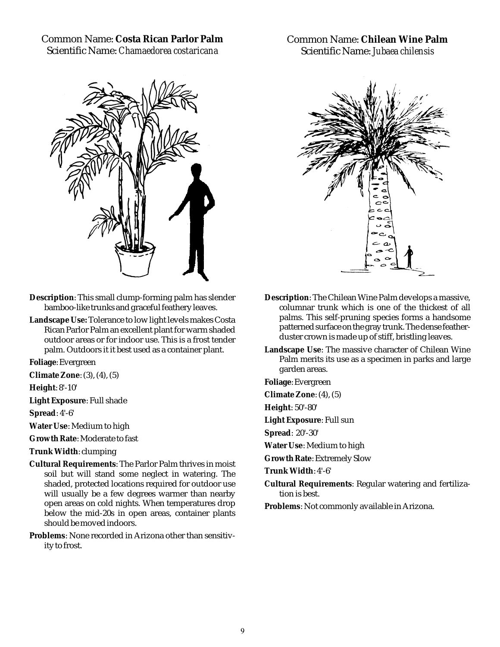Common Name: **Costa Rican Parlor Palm** Scientific Name: *Chamaedorea costaricana*



**Description**: This small clump-forming palm has slender bamboo-like trunks and graceful feathery leaves.

**Landscape Use:** Tolerance to low light levels makes Costa Rican Parlor Palm an excellent plant for warm shaded outdoor areas or for indoor use. This is a frost tender palm. Outdoors it it best used as a container plant.

**Foliage**: Evergreen

**Climate Zone**: (3), (4), (5)

**Height**: 8'-10'

**Light Exposure**: Full shade

**Spread**: 4'-6'

**Water Use**: Medium to high

**Growth Rate**: Moderate to fast

**Trunk Width**: clumping

**Cultural Requirements**: The Parlor Palm thrives in moist soil but will stand some neglect in watering. The shaded, protected locations required for outdoor use will usually be a few degrees warmer than nearby open areas on cold nights. When temperatures drop below the mid-20s in open areas, container plants should be moved indoors.

**Problems**: None recorded in Arizona other than sensitivity to frost.

Common Name: **Chilean Wine Palm** Scientific Name: *Jubaea chilensis*



- **Description**: The Chilean Wine Palm develops a massive, columnar trunk which is one of the thickest of all palms. This self-pruning species forms a handsome patterned surface on the gray trunk. The dense featherduster crown is made up of stiff, bristling leaves.
- **Landscape Use**: The massive character of Chilean Wine Palm merits its use as a specimen in parks and large garden areas.

**Foliage**: Evergreen

**Climate Zone**: (4), (5)

**Height**: 50'-80'

**Light Exposure**: Full sun

**Spread**: 20'-30'

**Water Use**: Medium to high

**Growth Rate**: Extremely Slow

**Trunk Width**: 4'-6'

**Cultural Requirements**: Regular watering and fertilization is best.

**Problems**: Not commonly available in Arizona.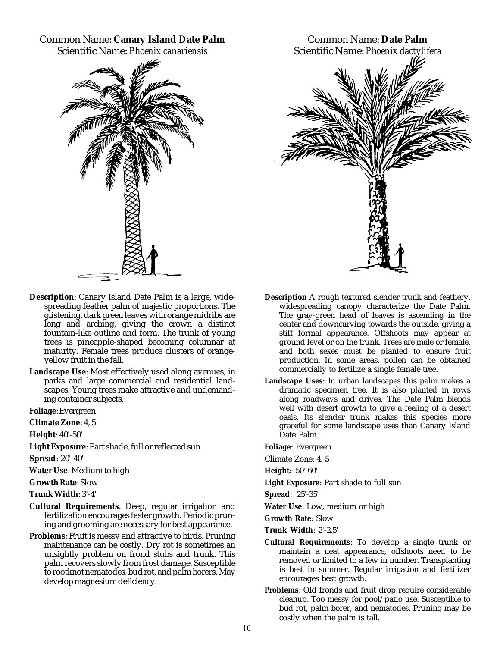# Common Name: **Canary Island Date Palm**

Scientific Name: *Phoenix canariensis*



- **Description**: Canary Island Date Palm is a large, widespreading feather palm of majestic proportions. The glistening, dark green leaves with orange midribs are long and arching, giving the crown a distinct fountain-like outline and form. The trunk of young trees is pineapple-shaped becoming columnar at maturity. Female trees produce clusters of orangeyellow fruit in the fall.
- **Landscape Use**: Most effectively used along avenues, in parks and large commercial and residential landscapes. Young trees make attractive and undemanding container subjects.

**Foliage**: Evergreen

**Climate Zone**: 4, 5

**Height**: 40'-50'

**Light Exposure**: Part shade, full or reflected sun

**Spread**: 20'-40'

**Water Use**: Medium to high

**Growth Rate**: Slow

**Trunk Width**: 3'-4'

- **Cultural Requirements**: Deep, regular irrigation and fertilization encourages faster growth. Periodic pruning and grooming are necessary for best appearance.
- **Problems**: Fruit is messy and attractive to birds. Pruning maintenance can be costly. Dry rot is sometimes an unsightly problem on frond stubs and trunk. This palm recovers slowly from frost damage. Susceptible to rootknot nematodes, bud rot, and palm borers. May develop magnesium deficiency.



- **Description** A rough textured slender trunk and feathery, widespreading canopy characterize the Date Palm. The gray-green head of leaves is ascending in the center and downcurving towards the outside, giving a stiff formal appearance. Offshoots may appear at ground level or on the trunk. Trees are male or female, and both sexes must be planted to ensure fruit production. In some areas, pollen can be obtained commercially to fertilize a single female tree.
- **Landscape Uses**: In urban landscapes this palm makes a dramatic specimen tree. It is also planted in rows along roadways and drives. The Date Palm blends well with desert growth to give a feeling of a desert oasis. Its slender trunk makes this species more graceful for some landscape uses than Canary Island Date Palm.

**Foliage**: Evergreen

Climate Zone: 4, 5

**Height**: 50'-60'

**Light Exposure**: Part shade to full sun

**Spread**: 25'-35'

**Water Use**: Low, medium or high

**Growth Rate**: Slow

**Trunk Width**: 2'-2.5'

- **Cultural Requirements**: To develop a single trunk or maintain a neat appearance, offshoots need to be removed or limited to a few in number. Transplanting is best in summer. Regular irrigation and fertilizer encourages best growth.
- **Problems**: Old fronds and fruit drop require considerable cleanup. Too messy for pool/patio use. Susceptible to bud rot, palm borer, and nematodes. Pruning may be costly when the palm is tall.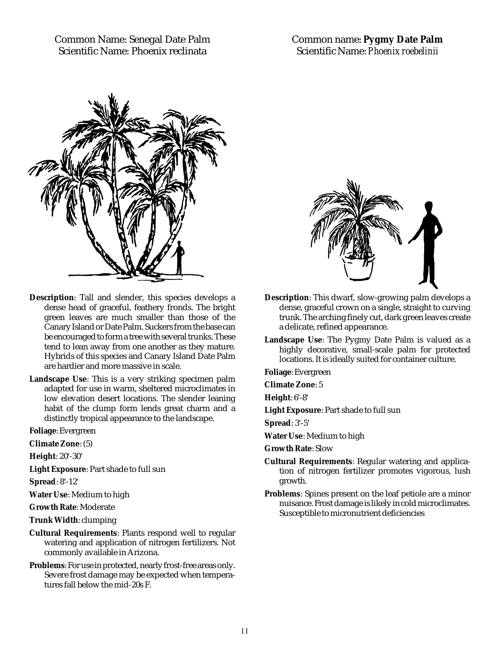Common Name: Senegal Date Palm Scientific Name: Phoenix reclinata

Common name: **Pygmy Date Palm** Scientific Name: *Phoenix roebelinii*



- **Description**: Tall and slender, this species develops a dense head of graceful, feathery fronds. The bright green leaves are much smaller than those of the Canary Island or Date Palm. Suckers from the base can be encouraged to form a tree with several trunks. These tend to lean away from one another as they mature. Hybrids of this species and Canary Island Date Palm are hardier and more massive in scale.
- **Landscape Use**: This is a very striking specimen palm adapted for use in warm, sheltered microclimates in low elevation desert locations. The slender leaning habit of the clump form lends great charm and a distinctly tropical appearance to the landscape.

**Foliage**: Evergreen

**Climate Zone**: (5)

**Height**: 20'-30'

**Light Exposure**: Part shade to full sun

**Spread**: 8'-12'

**Water Use**: Medium to high

**Growth Rate**: Moderate

**Trunk Width**: clumping

- **Cultural Requirements**: Plants respond well to regular watering and application of nitrogen fertilizers. Not commonly available in Arizona.
- **Problems**: For use in protected, nearly frost-free areas only. Severe frost damage may be expected when temperatures fall below the mid-20s F.



- **Description**: This dwarf, slow-growing palm develops a dense, graceful crown on a single, straight to curving trunk. The arching finely cut, dark green leaves create a delicate, refined appearance.
- **Landscape Use**: The Pygmy Date Palm is valued as a highly decorative, small-scale palm for protected locations. It is ideally suited for container culture.

**Foliage**: Evergreen

**Climate Zone**: 5

**Height**: 6'-8'

**Light Exposure**: Part shade to full sun

**Spread**: 3'-5'

**Water Use**: Medium to high

**Growth Rate**: Slow

- **Cultural Requirements**: Regular watering and application of nitrogen fertilizer promotes vigorous, lush growth.
- **Problems**: Spines present on the leaf petiole are a minor nuisance. Frost damage is likely in cold microclimates. Susceptible to micronutrient deficiencies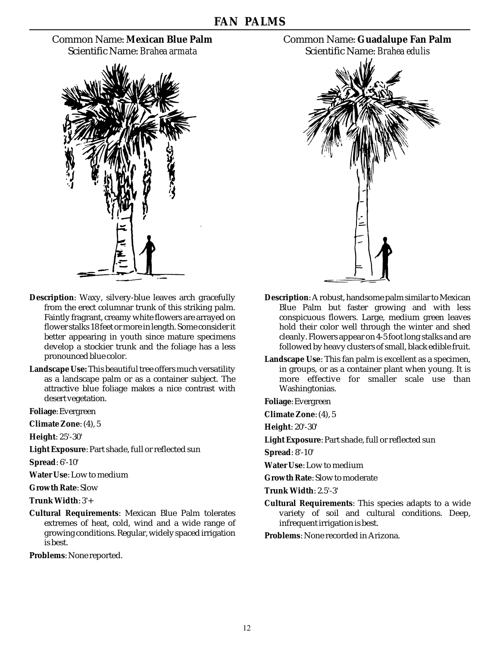### Common Name: **Mexican Blue Palm** Scientific Name: *Brahea armata*



- **Description**: Waxy, silvery-blue leaves arch gracefully from the erect columnar trunk of this striking palm. Faintly fragrant, creamy white flowers are arrayed on flower stalks 18 feet or more in length. Some consider it better appearing in youth since mature specimens develop a stockier trunk and the foliage has a less pronounced blue color.
- **Landscape Use:** This beautiful tree offers much versatility as a landscape palm or as a container subject. The attractive blue foliage makes a nice contrast with desert vegetation.

**Foliage**: Evergreen

**Climate Zone**: (4), 5

**Height**: 25'-30'

**Light Exposure**: Part shade, full or reflected sun

**Spread**: 6'-10'

**Water Use**: Low to medium

**Growth Rate**: Slow

**Trunk Width**: 3'+

**Cultural Requirements**: Mexican Blue Palm tolerates extremes of heat, cold, wind and a wide range of growing conditions. Regular, widely spaced irrigation is best.

**Problems**: None reported.





- **Description**: A robust, handsome palm similar to Mexican Blue Palm but faster growing and with less conspicuous flowers. Large, medium green leaves hold their color well through the winter and shed cleanly. Flowers appear on 4-5 foot long stalks and are followed by heavy clusters of small, black edible fruit.
- **Landscape Use**: This fan palm is excellent as a specimen, in groups, or as a container plant when young. It is more effective for smaller scale use than Washingtonias.

**Foliage**: Evergreen

**Climate Zone**: (4), 5

**Height**: 20'-30'

**Light Exposure**: Part shade, full or reflected sun

**Spread**: 8'-10'

**Water Use**: Low to medium

**Growth Rate**: Slow to moderate

**Trunk Width**: 2.5'-3'

**Cultural Requirements**: This species adapts to a wide variety of soil and cultural conditions. Deep, infrequent irrigation is best.

**Problems**: None recorded in Arizona.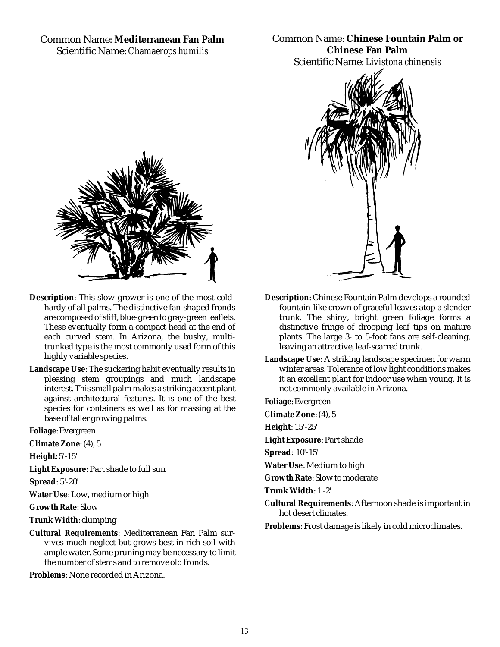#### Common Name: **Mediterranean Fan Palm** Scientific Name: *Chamaerops humilis*

Common Name: **Chinese Fountain Palm or Chinese Fan Palm** Scientific Name: *Livistona chinensis*



- **Description**: This slow grower is one of the most coldhardy of all palms. The distinctive fan-shaped fronds are composed of stiff, blue-green to gray-green leaflets. These eventually form a compact head at the end of each curved stem. In Arizona, the bushy, multitrunked type is the most commonly used form of this highly variable species.
- **Landscape Use**: The suckering habit eventually results in pleasing stem groupings and much landscape interest. This small palm makes a striking accent plant against architectural features. It is one of the best species for containers as well as for massing at the base of taller growing palms.

**Foliage**: Evergreen

**Climate Zone**: (4), 5

**Height**: 5'-15'

**Light Exposure**: Part shade to full sun

**Spread**: 5'-20'

**Water Use**: Low, medium or high

**Growth Rate**: Slow

**Trunk Width**: clumping

**Cultural Requirements**: Mediterranean Fan Palm survives much neglect but grows best in rich soil with ample water. Some pruning may be necessary to limit the number of stems and to remove old fronds.

**Problems**: None recorded in Arizona.



- **Description**: Chinese Fountain Palm develops a rounded fountain-like crown of graceful leaves atop a slender trunk. The shiny, bright green foliage forms a distinctive fringe of drooping leaf tips on mature plants. The large 3- to 5-foot fans are self-cleaning, leaving an attractive, leaf-scarred trunk.
- **Landscape Use**: A striking landscape specimen for warm winter areas. Tolerance of low light conditions makes it an excellent plant for indoor use when young. It is not commonly available in Arizona.

**Foliage**: Evergreen

**Climate Zone**: (4), 5

**Height**: 15'-25'

**Light Exposure**: Part shade

**Spread**: 10'-15'

**Water Use**: Medium to high

**Growth Rate**: Slow to moderate

**Trunk Width**: 1'-2'

**Cultural Requirements**: Afternoon shade is important in hot desert climates.

**Problems**: Frost damage is likely in cold microclimates.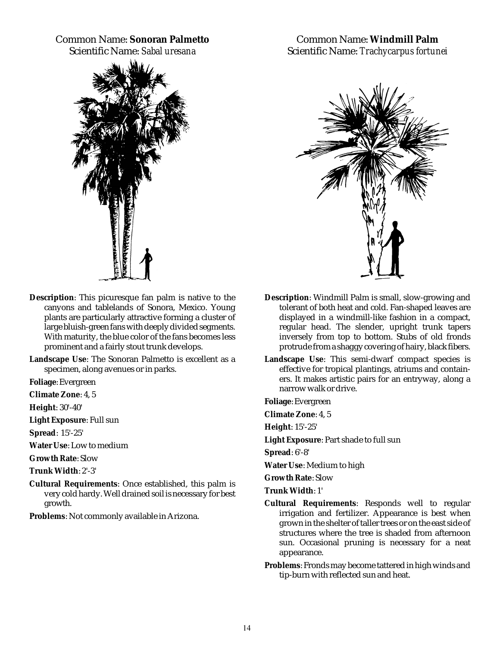# Common Name: **Sonoran Palmetto**

Scientific Name: *Sabal uresana*



Common Name: **Windmill Palm** Scientific Name: *Trachycarpus fortunei*



- **Description**: This picuresque fan palm is native to the canyons and tablelands of Sonora, Mexico. Young plants are particularly attractive forming a cluster of large bluish-green fans with deeply divided segments. With maturity, the blue color of the fans becomes less prominent and a fairly stout trunk develops.
- **Landscape Use**: The Sonoran Palmetto is excellent as a specimen, along avenues or in parks.

**Foliage**: Evergreen

**Climate Zone**: 4, 5

**Height**: 30'-40'

**Light Exposure**: Full sun

**Spread**: 15'-25'

**Water Use**: Low to medium

**Growth Rate**: Slow

**Trunk Width**: 2'-3'

**Cultural Requirements**: Once established, this palm is very cold hardy. Well drained soil is necessary for best growth.

**Problems**: Not commonly available in Arizona.

- **Description**: Windmill Palm is small, slow-growing and tolerant of both heat and cold. Fan-shaped leaves are displayed in a windmill-like fashion in a compact, regular head. The slender, upright trunk tapers inversely from top to bottom. Stubs of old fronds protrude from a shaggy covering of hairy, black fibers.
- **Landscape Use**: This semi-dwarf compact species is effective for tropical plantings, atriums and containers. It makes artistic pairs for an entryway, along a narrow walk or drive.

**Foliage**: Evergreen

**Climate Zone**: 4, 5

**Height**: 15'-25'

**Light Exposure**: Part shade to full sun

**Spread**: 6'-8'

**Water Use**: Medium to high

**Growth Rate**: Slow

- **Trunk Width**: 1'
- **Cultural Requirements**: Responds well to regular irrigation and fertilizer. Appearance is best when grown in the shelter of taller trees or on the east side of structures where the tree is shaded from afternoon sun. Occasional pruning is necessary for a neat appearance.
- **Problems**: Fronds may become tattered in high winds and tip-burn with reflected sun and heat.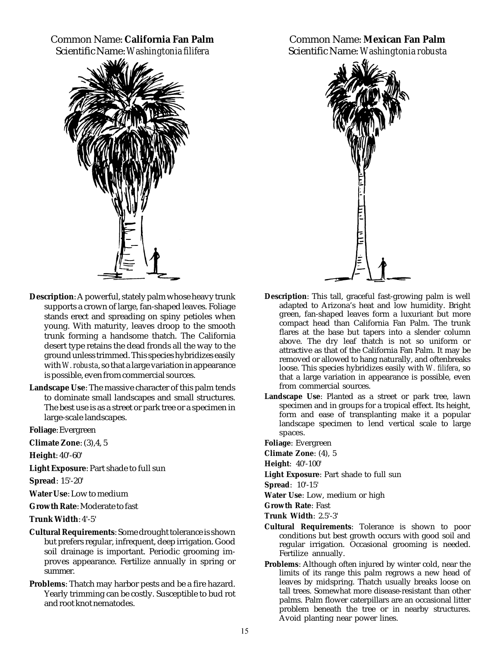Common Name: **California Fan Palm** Scientific Name: *Washingtonia filifera*



- **Description**: A powerful, stately palm whose heavy trunk supports a crown of large, fan-shaped leaves. Foliage stands erect and spreading on spiny petioles when young. With maturity, leaves droop to the smooth trunk forming a handsome thatch. The California desert type retains the dead fronds all the way to the ground unless trimmed. This species hybridizes easily with *W. robusta*, so that a large variation in appearance is possible, even from commercial sources.
- **Landscape Use**: The massive character of this palm tends to dominate small landscapes and small structures. The best use is as a street or park tree or a specimen in large-scale landscapes.

**Foliage**: Evergreen

**Climate Zone**: (3),4, 5

**Height**: 40'-60'

**Light Exposure**: Part shade to full sun

**Spread**: 15'-20'

**Water Use**: Low to medium

**Growth Rate**: Moderate to fast

**Trunk Width**: 4'-5'

- **Cultural Requirements**: Some drought tolerance is shown but prefers regular, infrequent, deep irrigation. Good soil drainage is important. Periodic grooming improves appearance. Fertilize annually in spring or summer.
- **Problems**: Thatch may harbor pests and be a fire hazard. Yearly trimming can be costly. Susceptible to bud rot and root knot nematodes.

Common Name: **Mexican Fan Palm** Scientific Name: *Washingtonia robusta*



- **Description**: This tall, graceful fast-growing palm is well adapted to Arizona's heat and low humidity. Bright green, fan-shaped leaves form a luxuriant but more compact head than California Fan Palm. The trunk flares at the base but tapers into a slender column above. The dry leaf thatch is not so uniform or attractive as that of the California Fan Palm. It may be removed or allowed to hang naturally, and oftenbreaks loose. This species hybridizes easily with *W. filifera*, so that a large variation in appearance is possible, even from commercial sources.
- **Landscape Use**: Planted as a street or park tree, lawn specimen and in groups for a tropical effect. Its height, form and ease of transplanting make it a popular landscape specimen to lend vertical scale to large spaces.

**Foliage**: Evergreen

**Climate Zone**: (4), 5

**Height**: 40'-100'

**Light Exposure**: Part shade to full sun

**Spread**: 10'-15'

**Water Use**: Low, medium or high

**Growth Rate**: Fast

**Trunk Width**: 2.5'-3'

- **Cultural Requirements**: Tolerance is shown to poor conditions but best growth occurs with good soil and regular irrigation. Occasional grooming is needed. Fertilize annually.
- **Problems**: Although often injured by winter cold, near the limits of its range this palm regrows a new head of leaves by midspring. Thatch usually breaks loose on tall trees. Somewhat more disease-resistant than other palms. Palm flower caterpillars are an occasional litter problem beneath the tree or in nearby structures. Avoid planting near power lines.